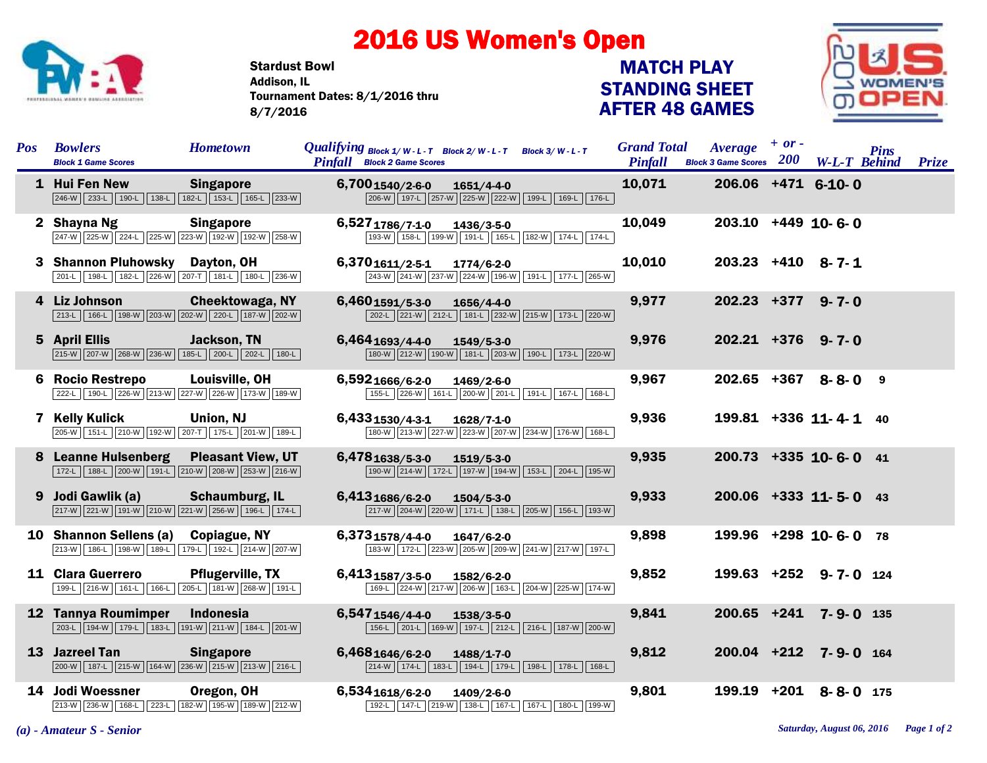## 2016 US Women's Open

Stardust Bowl Tournament Dates: 8/1/2016 thru 8/7/2016 Addison, IL

## STANDING SHEET AFTER 48 GAMES MATCH PLAY



| <b>Pos</b> | <b>Bowlers</b><br><b>Block 1 Game Scores</b>                                              | <b>Hometown</b>          | <i>Qualifying</i> Block $1/W - L - T$ Block $2/W - L - T$ Block $3/W - L - T$<br><b>Pinfall</b> Block 2 Game Scores |                  |                                                 | <b>Grand Total</b><br><b>Pinfall</b> | <i><b>Average</b></i><br>Block 3 Game Scores 200 W-L-T Behind Prize | $+$ or $-$ |                         | <b>Pins</b> |  |
|------------|-------------------------------------------------------------------------------------------|--------------------------|---------------------------------------------------------------------------------------------------------------------|------------------|-------------------------------------------------|--------------------------------------|---------------------------------------------------------------------|------------|-------------------------|-------------|--|
|            | 1 Hui Fen New<br>246-W 233-L 190-L 138-L 182-L 153-L 165-L 233-W                          | <b>Singapore</b>         | 6,7001540/2-6-0                                                                                                     | $1651/4 - 4 - 0$ | 206-W 197-L 257-W 225-W 222-W 199-L 169-L 176-L | 10,071                               | 206.06 +471 6-10-0                                                  |            |                         |             |  |
|            | 2 Shayna Ng<br>247-W 225-W 224-L 225-W 223-W 192-W 192-W 258-W                            | <b>Singapore</b>         | 6,5271786/7-1-0                                                                                                     | 1436/3-5-0       | 193-W 158-L 199-W 191-L 165-L 182-W 174-L 174-L | 10,049                               | $203.10 +449$ 10-6-0                                                |            |                         |             |  |
|            | 3 Shannon Pluhowsky<br>201-L 198-L 182-L 226-W 207-T 181-L 180-L 236-W                    | Dayton, OH               | 6,3701611/2-5-1                                                                                                     | 1774/6-2-0       | 243-W 241-W 237-W 224-W 196-W 191-L 177-L 265-W | 10,010                               | $203.23 +410$ 8-7-1                                                 |            |                         |             |  |
|            | 4 Liz Johnson<br>213-L 166-L 198-W 203-W 202-W 220-L 187-W 202-W                          | <b>Cheektowaga, NY</b>   | $6,460$ <sub>1591/5-3-0</sub>                                                                                       | 1656/4-4-0       | 202-L 221-W 212-L 181-L 232-W 215-W 173-L 220-W | 9,977                                | $202.23 + 377$ 9-7-0                                                |            |                         |             |  |
|            | 5 April Ellis<br>215-W 207-W 268-W 236-W 185-L 200-L 202-L 180-L                          | <b>Jackson, TN</b>       | 6,4641693/4-4-0                                                                                                     | 1549/5-3-0       | 180-W 212-W 190-W 181-L 203-W 190-L 173-L 220-W | 9,976                                | $202.21 + 376$ 9-7-0                                                |            |                         |             |  |
| 6          | <b>Rocio Restrepo</b><br>222-L 190-L 226-W 213-W 227-W 226-W 173-W 189-W                  | Louisville, OH           | 6,5921666/6-2-0                                                                                                     | 1469/2-6-0       | 155-L 226-W 161-L 200-W 201-L 191-L 167-L 168-L | 9,967                                |                                                                     |            | $202.65$ +367 8-8-0 9   |             |  |
|            | 7 Kelly Kulick<br>205-W 151-L 210-W 192-W 207-T 175-L 201-W 189-L                         | Union, NJ                | 6,4331530/4-3-1                                                                                                     | 1628/7-1-0       | 180-W 213-W 227-W 223-W 207-W 234-W 176-W 168-L | 9,936                                |                                                                     |            | 199.81 +336 11-4-1 40   |             |  |
| 8          | <b>Leanne Hulsenberg</b><br>172-L   188-L   200-W   191-L   210-W   208-W   253-W   216-W | <b>Pleasant View, UT</b> | 6,4781638/5-3-0                                                                                                     | 1519/5-3-0       | 190-W 214-W 172-L 197-W 194-W 153-L 204-L 195-W | 9,935                                |                                                                     |            | $200.73$ +335 10-6-0 41 |             |  |
|            | 9 Jodi Gawlik (a)<br>217-W 221-W 191-W 210-W 221-W 256-W 196-L 174-L                      | <b>Schaumburg, IL</b>    | 6,4131686/6-2-0                                                                                                     | $1504/5 - 3 - 0$ | 217-W 204-W 220-W 171-L 138-L 205-W 166-L 193-W | 9,933                                |                                                                     |            | $200.06$ +333 11-5-0 43 |             |  |
|            | 10 Shannon Sellens (a) Copiague, NY<br>213-W 186-L 198-W 189-L 179-L 192-L 214-W 207-W    |                          | 6,3731578/4-4-0                                                                                                     | 1647/6-2-0       | 183-W 172-L 223-W 205-W 209-W 241-W 217-W 197-L | 9,898                                |                                                                     |            | 199.96 +298 10-6-0 78   |             |  |
|            | 11 Clara Guerrero<br>199-L 216-W 161-L 166-L 205-L 181-W 268-W 191-L                      | <b>Pflugerville, TX</b>  | 6,4131587/3-5-0                                                                                                     | 1582/6-2-0       | 169-L 224-W 217-W 206-W 163-L 204-W 225-W 174-W | 9,852                                |                                                                     |            | 199.63 +252 9-7-0 124   |             |  |
|            | 12 Tannya Roumimper<br>203-L 194-W 179-L 183-L 191-W 211-W 184-L 201-W                    | <b>Indonesia</b>         | 6,5471546/4-4-0                                                                                                     | 1538/3-5-0       | 156-L 201-L 169-W 197-L 212-L 216-L 187-W 200-W | 9,841                                | $200.65$ +241                                                       |            | $7 - 9 - 0$ 135         |             |  |
|            | 13 Jazreel Tan<br>200-W   187-L   215-W   164-W   236-W   215-W   213-W   216-L           | <b>Singapore</b>         | 6,4681646/6-2-0                                                                                                     | $1488/1 - 7 - 0$ | 214-W 174-L 183-L 194-L 179-L 198-L 178-L 168-L | 9,812                                |                                                                     |            | 200.04 +212 7-9-0 164   |             |  |
|            | 14 Jodi Woessner<br>213-W 236-W 168-L 223-L 182-W 195-W 189-W 212-W                       | Oregon, OH               | 6,5341618/6-2-0                                                                                                     | 1409/2-6-0       | 192-L 147-L 219-W 138-L 167-L 167-L 180-L 199-W | 9,801                                | $199.19$ +201                                                       |            | $8 - 8 - 0$ 175         |             |  |